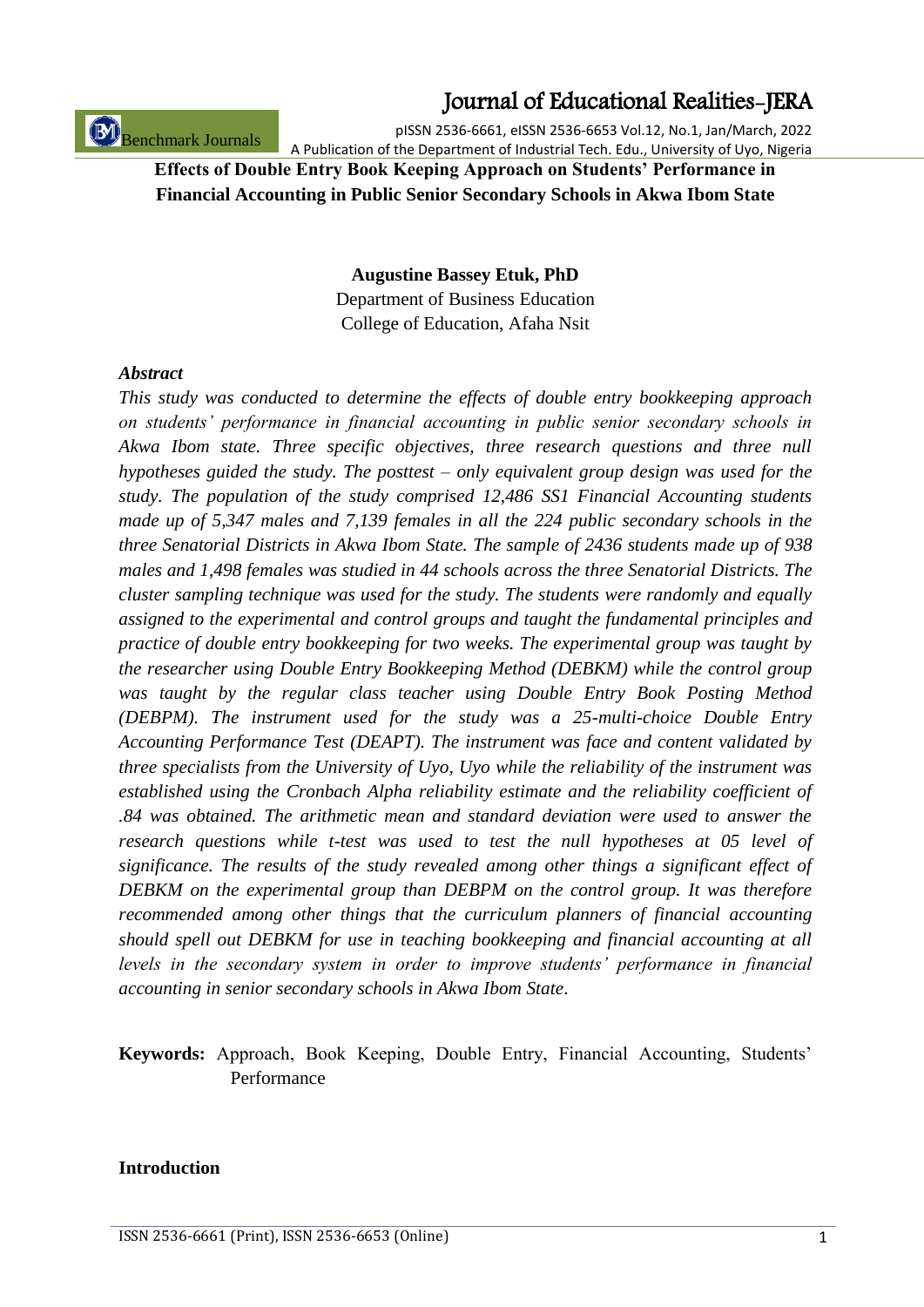Benchmark Journals

## Journal of Educational Realities-JERA

pISSN 2536-6661, eISSN 2536-6653 Vol.12, No.1, Jan/March, 2022 A Publication of the Department of Industrial Tech. Edu., University of Uyo, Nigeria

## **Effects of Double Entry Book Keeping Approach on Students' Performance in Financial Accounting in Public Senior Secondary Schools in Akwa Ibom State**

**Augustine Bassey Etuk, PhD**

Department of Business Education College of Education, Afaha Nsit

#### *Abstract*

*This study was conducted to determine the effects of double entry bookkeeping approach on students' performance in financial accounting in public senior secondary schools in Akwa Ibom state. Three specific objectives, three research questions and three null hypotheses guided the study. The posttest – only equivalent group design was used for the study. The population of the study comprised 12,486 SS1 Financial Accounting students made up of 5,347 males and 7,139 females in all the 224 public secondary schools in the three Senatorial Districts in Akwa Ibom State. The sample of 2436 students made up of 938 males and 1,498 females was studied in 44 schools across the three Senatorial Districts. The cluster sampling technique was used for the study. The students were randomly and equally assigned to the experimental and control groups and taught the fundamental principles and practice of double entry bookkeeping for two weeks. The experimental group was taught by the researcher using Double Entry Bookkeeping Method (DEBKM) while the control group was taught by the regular class teacher using Double Entry Book Posting Method (DEBPM). The instrument used for the study was a 25-multi-choice Double Entry Accounting Performance Test (DEAPT). The instrument was face and content validated by three specialists from the University of Uyo, Uyo while the reliability of the instrument was established using the Cronbach Alpha reliability estimate and the reliability coefficient of .84 was obtained. The arithmetic mean and standard deviation were used to answer the research questions while t-test was used to test the null hypotheses at 05 level of significance. The results of the study revealed among other things a significant effect of DEBKM on the experimental group than DEBPM on the control group. It was therefore recommended among other things that the curriculum planners of financial accounting should spell out DEBKM for use in teaching bookkeeping and financial accounting at all levels in the secondary system in order to improve students' performance in financial accounting in senior secondary schools in Akwa Ibom State*.

**Keywords:** Approach, Book Keeping, Double Entry, Financial Accounting, Students" Performance

#### **Introduction**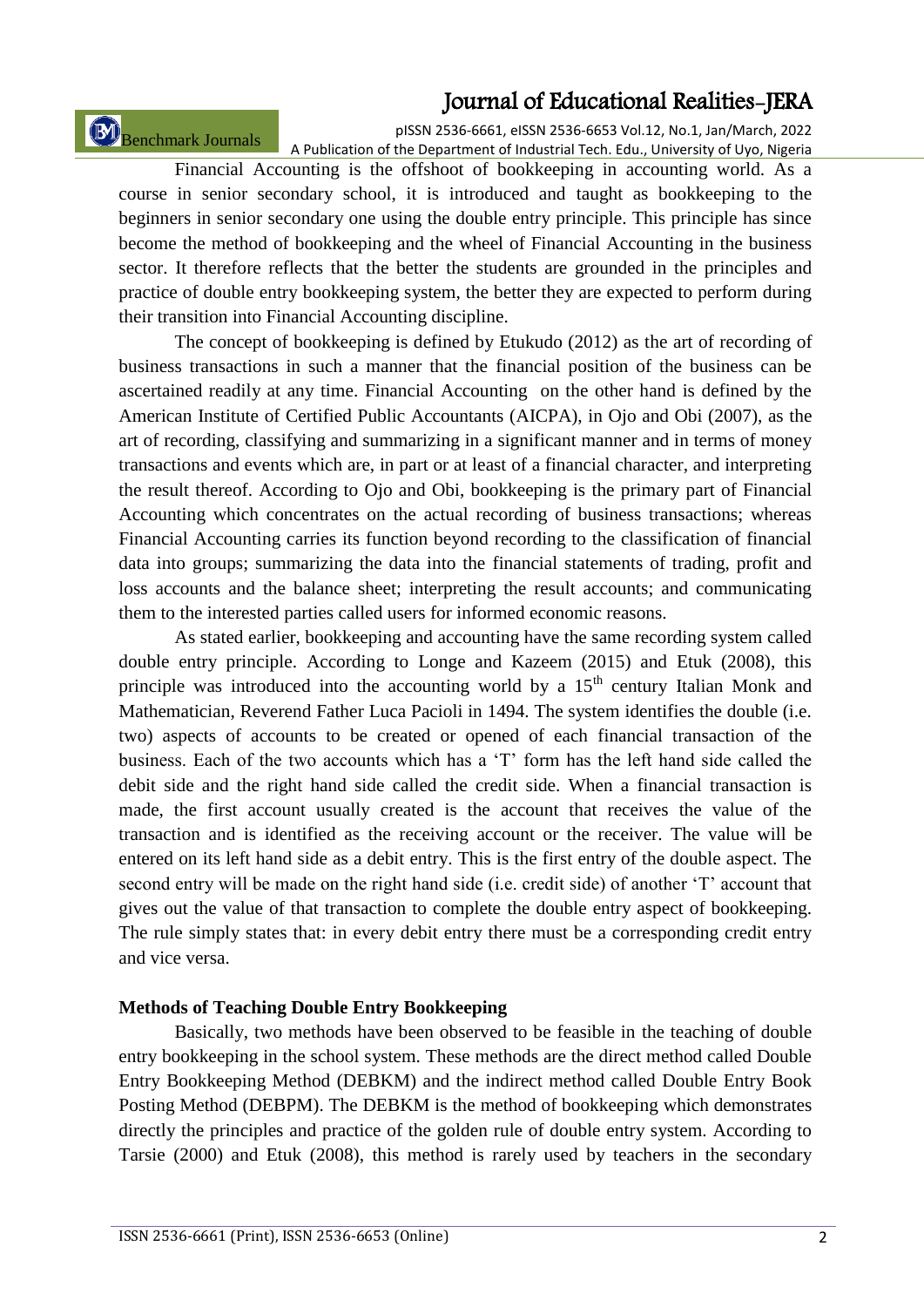Benchmark Journals

pISSN 2536-6661, eISSN 2536-6653 Vol.12, No.1, Jan/March, 2022 A Publication of the Department of Industrial Tech. Edu., University of Uyo, Nigeria

Financial Accounting is the offshoot of bookkeeping in accounting world. As a course in senior secondary school, it is introduced and taught as bookkeeping to the beginners in senior secondary one using the double entry principle. This principle has since become the method of bookkeeping and the wheel of Financial Accounting in the business sector. It therefore reflects that the better the students are grounded in the principles and practice of double entry bookkeeping system, the better they are expected to perform during their transition into Financial Accounting discipline.

The concept of bookkeeping is defined by Etukudo (2012) as the art of recording of business transactions in such a manner that the financial position of the business can be ascertained readily at any time. Financial Accounting on the other hand is defined by the American Institute of Certified Public Accountants (AICPA), in Ojo and Obi (2007), as the art of recording, classifying and summarizing in a significant manner and in terms of money transactions and events which are, in part or at least of a financial character, and interpreting the result thereof. According to Ojo and Obi, bookkeeping is the primary part of Financial Accounting which concentrates on the actual recording of business transactions; whereas Financial Accounting carries its function beyond recording to the classification of financial data into groups; summarizing the data into the financial statements of trading, profit and loss accounts and the balance sheet; interpreting the result accounts; and communicating them to the interested parties called users for informed economic reasons.

As stated earlier, bookkeeping and accounting have the same recording system called double entry principle. According to Longe and Kazeem (2015) and Etuk (2008), this principle was introduced into the accounting world by a  $15<sup>th</sup>$  century Italian Monk and Mathematician, Reverend Father Luca Pacioli in 1494. The system identifies the double (i.e. two) aspects of accounts to be created or opened of each financial transaction of the business. Each of the two accounts which has a "T" form has the left hand side called the debit side and the right hand side called the credit side. When a financial transaction is made, the first account usually created is the account that receives the value of the transaction and is identified as the receiving account or the receiver. The value will be entered on its left hand side as a debit entry. This is the first entry of the double aspect. The second entry will be made on the right hand side (i.e. credit side) of another 'T' account that gives out the value of that transaction to complete the double entry aspect of bookkeeping. The rule simply states that: in every debit entry there must be a corresponding credit entry and vice versa.

#### **Methods of Teaching Double Entry Bookkeeping**

Basically, two methods have been observed to be feasible in the teaching of double entry bookkeeping in the school system. These methods are the direct method called Double Entry Bookkeeping Method (DEBKM) and the indirect method called Double Entry Book Posting Method (DEBPM). The DEBKM is the method of bookkeeping which demonstrates directly the principles and practice of the golden rule of double entry system. According to Tarsie (2000) and Etuk (2008), this method is rarely used by teachers in the secondary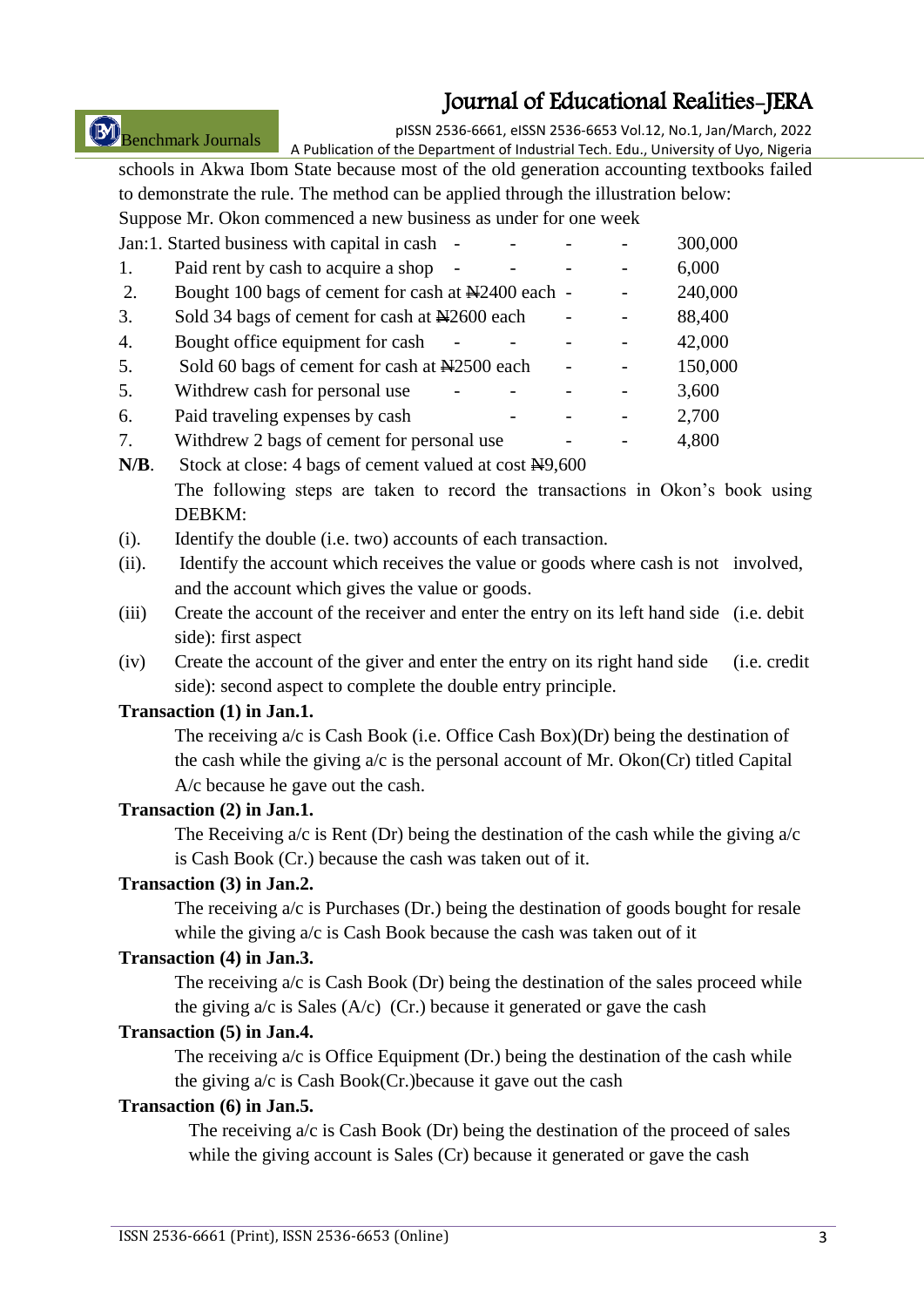# Benchmark Journals

pISSN 2536-6661, eISSN 2536-6653 Vol.12, No.1, Jan/March, 2022

A Publication of the Department of Industrial Tech. Edu., University of Uyo, Nigeria schools in Akwa Ibom State because most of the old generation accounting textbooks failed to demonstrate the rule. The method can be applied through the illustration below: Suppose Mr. Okon commenced a new business as under for one week

 $J$ an:1. Started business with capital in cash  $-$  300,000

|    | Jan. I. Started business with capital in cash      |  | <b>JUU.UUU</b> |
|----|----------------------------------------------------|--|----------------|
| 1. | Paid rent by cash to acquire a shop                |  | 6,000          |
| 2. | Bought 100 bags of cement for cash at N2400 each - |  | 240,000        |
| 3. | Sold 34 bags of cement for cash at New 2600 each   |  | 88,400         |
| 4. | Bought office equipment for cash                   |  | 42,000         |
| 5. | Sold 60 bags of cement for cash at N2500 each      |  | 150,000        |
| 5. | Withdrew cash for personal use                     |  | 3,600          |
| 6. | Paid traveling expenses by cash                    |  | 2,700          |
| 7. | Withdrew 2 bags of cement for personal use         |  | 4,800          |
|    |                                                    |  |                |

- N/B. Stock at close: 4 bags of cement valued at cost  $\frac{N}{9,600}$ The following steps are taken to record the transactions in Okon"s book using DEBKM:
- (i). Identify the double (i.e. two) accounts of each transaction.
- (ii). Identify the account which receives the value or goods where cash is not involved, and the account which gives the value or goods.
- (iii) Create the account of the receiver and enter the entry on its left hand side (i.e. debit side): first aspect
- (iv) Create the account of the giver and enter the entry on its right hand side (i.e. credit side): second aspect to complete the double entry principle.

#### **Transaction (1) in Jan.1.**

The receiving  $a/c$  is Cash Book (i.e. Office Cash Box)(Dr) being the destination of the cash while the giving  $a/c$  is the personal account of Mr. Okon(Cr) titled Capital A/c because he gave out the cash.

#### **Transaction (2) in Jan.1.**

The Receiving  $a/c$  is Rent (Dr) being the destination of the cash while the giving  $a/c$ is Cash Book (Cr.) because the cash was taken out of it.

#### **Transaction (3) in Jan.2.**

The receiving  $a/c$  is Purchases (Dr.) being the destination of goods bought for resale while the giving  $a/c$  is Cash Book because the cash was taken out of it

#### **Transaction (4) in Jan.3.**

The receiving a/c is Cash Book (Dr) being the destination of the sales proceed while the giving  $a/c$  is Sales (A/c) (Cr.) because it generated or gave the cash

#### **Transaction (5) in Jan.4.**

The receiving a/c is Office Equipment (Dr.) being the destination of the cash while the giving a/c is Cash Book(Cr.)because it gave out the cash

#### **Transaction (6) in Jan.5.**

The receiving a/c is Cash Book (Dr) being the destination of the proceed of sales while the giving account is Sales (Cr) because it generated or gave the cash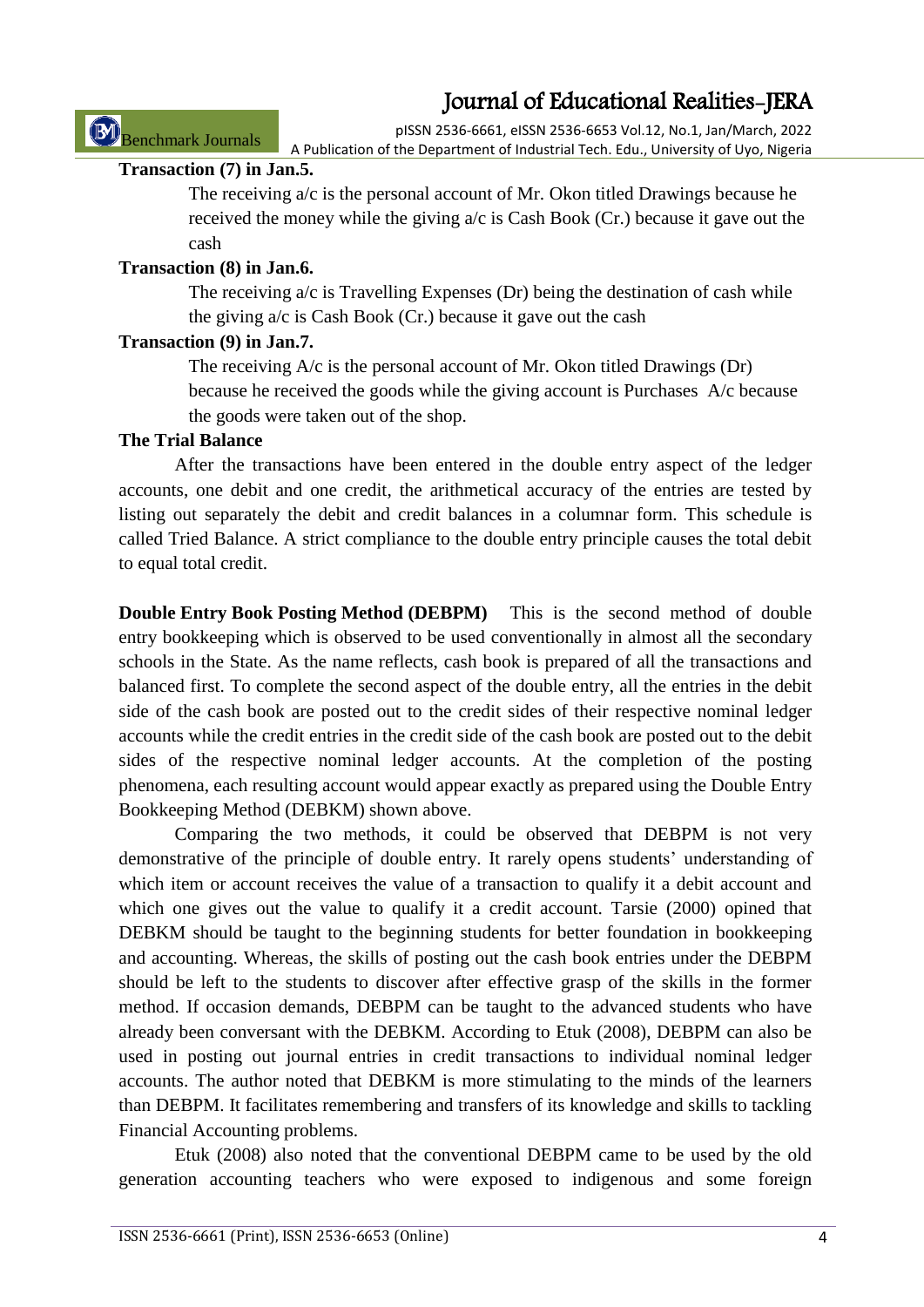Benchmark Journals

pISSN 2536-6661, eISSN 2536-6653 Vol.12, No.1, Jan/March, 2022 A Publication of the Department of Industrial Tech. Edu., University of Uyo, Nigeria

## **Transaction (7) in Jan.5.**

The receiving a/c is the personal account of Mr. Okon titled Drawings because he received the money while the giving a/c is Cash Book (Cr.) because it gave out the cash

## **Transaction (8) in Jan.6.**

The receiving a/c is Travelling Expenses (Dr) being the destination of cash while the giving a/c is Cash Book (Cr.) because it gave out the cash

## **Transaction (9) in Jan.7.**

The receiving  $A/c$  is the personal account of Mr. Okon titled Drawings (Dr) because he received the goods while the giving account is Purchases A/c because the goods were taken out of the shop.

## **The Trial Balance**

After the transactions have been entered in the double entry aspect of the ledger accounts, one debit and one credit, the arithmetical accuracy of the entries are tested by listing out separately the debit and credit balances in a columnar form. This schedule is called Tried Balance. A strict compliance to the double entry principle causes the total debit to equal total credit.

**Double Entry Book Posting Method (DEBPM)** This is the second method of double entry bookkeeping which is observed to be used conventionally in almost all the secondary schools in the State. As the name reflects, cash book is prepared of all the transactions and balanced first. To complete the second aspect of the double entry, all the entries in the debit side of the cash book are posted out to the credit sides of their respective nominal ledger accounts while the credit entries in the credit side of the cash book are posted out to the debit sides of the respective nominal ledger accounts. At the completion of the posting phenomena, each resulting account would appear exactly as prepared using the Double Entry Bookkeeping Method (DEBKM) shown above.

Comparing the two methods, it could be observed that DEBPM is not very demonstrative of the principle of double entry. It rarely opens students' understanding of which item or account receives the value of a transaction to qualify it a debit account and which one gives out the value to qualify it a credit account. Tarsie (2000) opined that DEBKM should be taught to the beginning students for better foundation in bookkeeping and accounting. Whereas, the skills of posting out the cash book entries under the DEBPM should be left to the students to discover after effective grasp of the skills in the former method. If occasion demands, DEBPM can be taught to the advanced students who have already been conversant with the DEBKM. According to Etuk (2008), DEBPM can also be used in posting out journal entries in credit transactions to individual nominal ledger accounts. The author noted that DEBKM is more stimulating to the minds of the learners than DEBPM. It facilitates remembering and transfers of its knowledge and skills to tackling Financial Accounting problems.

Etuk (2008) also noted that the conventional DEBPM came to be used by the old generation accounting teachers who were exposed to indigenous and some foreign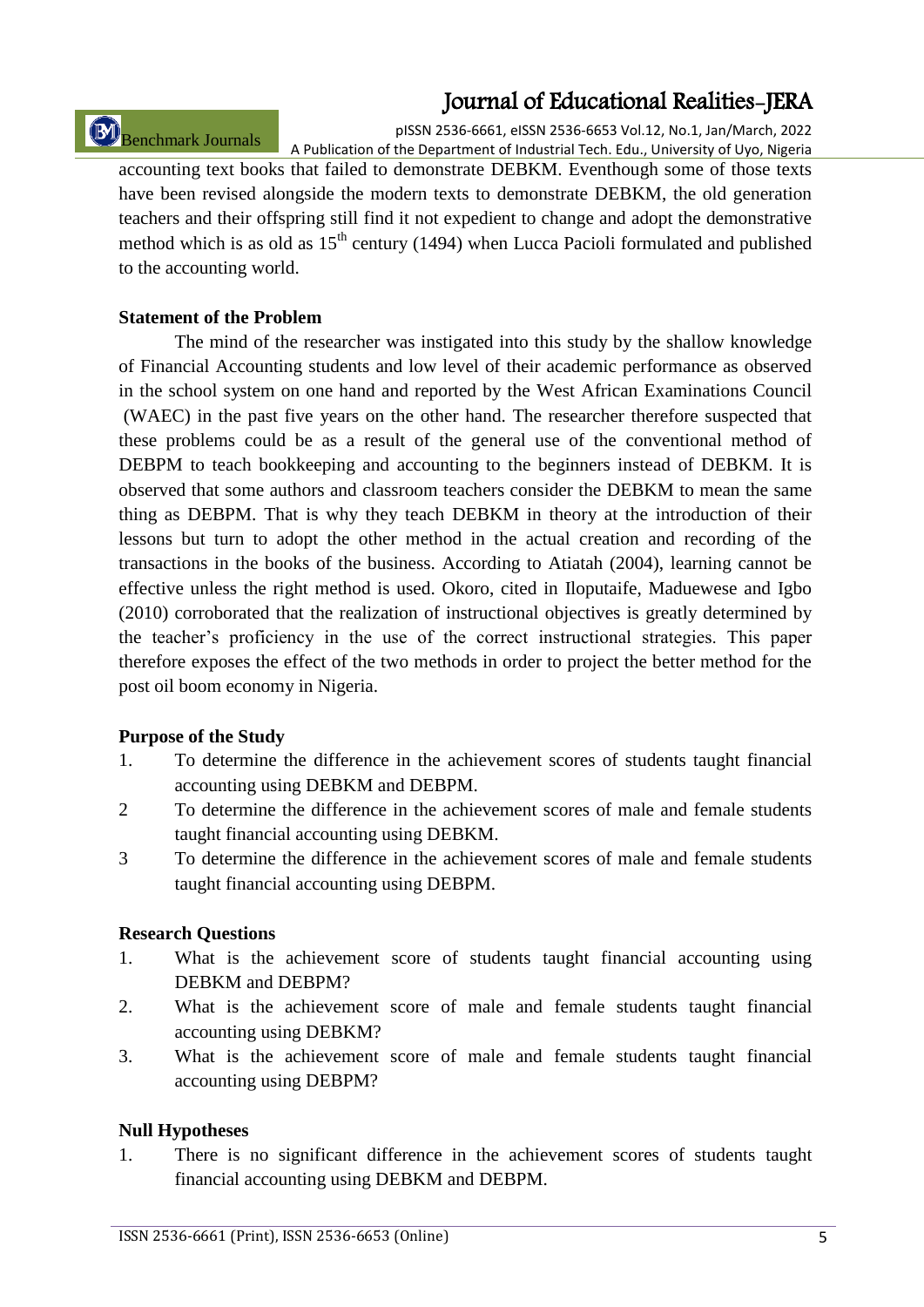# Benchmark Journals

pISSN 2536-6661, eISSN 2536-6653 Vol.12, No.1, Jan/March, 2022 A Publication of the Department of Industrial Tech. Edu., University of Uyo, Nigeria

accounting text books that failed to demonstrate DEBKM. Eventhough some of those texts have been revised alongside the modern texts to demonstrate DEBKM, the old generation teachers and their offspring still find it not expedient to change and adopt the demonstrative method which is as old as  $15<sup>th</sup>$  century (1494) when Lucca Pacioli formulated and published to the accounting world.

#### **Statement of the Problem**

The mind of the researcher was instigated into this study by the shallow knowledge of Financial Accounting students and low level of their academic performance as observed in the school system on one hand and reported by the West African Examinations Council (WAEC) in the past five years on the other hand. The researcher therefore suspected that these problems could be as a result of the general use of the conventional method of DEBPM to teach bookkeeping and accounting to the beginners instead of DEBKM. It is observed that some authors and classroom teachers consider the DEBKM to mean the same thing as DEBPM. That is why they teach DEBKM in theory at the introduction of their lessons but turn to adopt the other method in the actual creation and recording of the transactions in the books of the business. According to Atiatah (2004), learning cannot be effective unless the right method is used. Okoro, cited in Iloputaife, Maduewese and Igbo (2010) corroborated that the realization of instructional objectives is greatly determined by the teacher"s proficiency in the use of the correct instructional strategies. This paper therefore exposes the effect of the two methods in order to project the better method for the post oil boom economy in Nigeria.

#### **Purpose of the Study**

- 1. To determine the difference in the achievement scores of students taught financial accounting using DEBKM and DEBPM.
- 2 To determine the difference in the achievement scores of male and female students taught financial accounting using DEBKM.
- 3 To determine the difference in the achievement scores of male and female students taught financial accounting using DEBPM.

#### **Research Questions**

- 1. What is the achievement score of students taught financial accounting using DEBKM and DEBPM?
- 2. What is the achievement score of male and female students taught financial accounting using DEBKM?
- 3. What is the achievement score of male and female students taught financial accounting using DEBPM?

#### **Null Hypotheses**

1. There is no significant difference in the achievement scores of students taught financial accounting using DEBKM and DEBPM.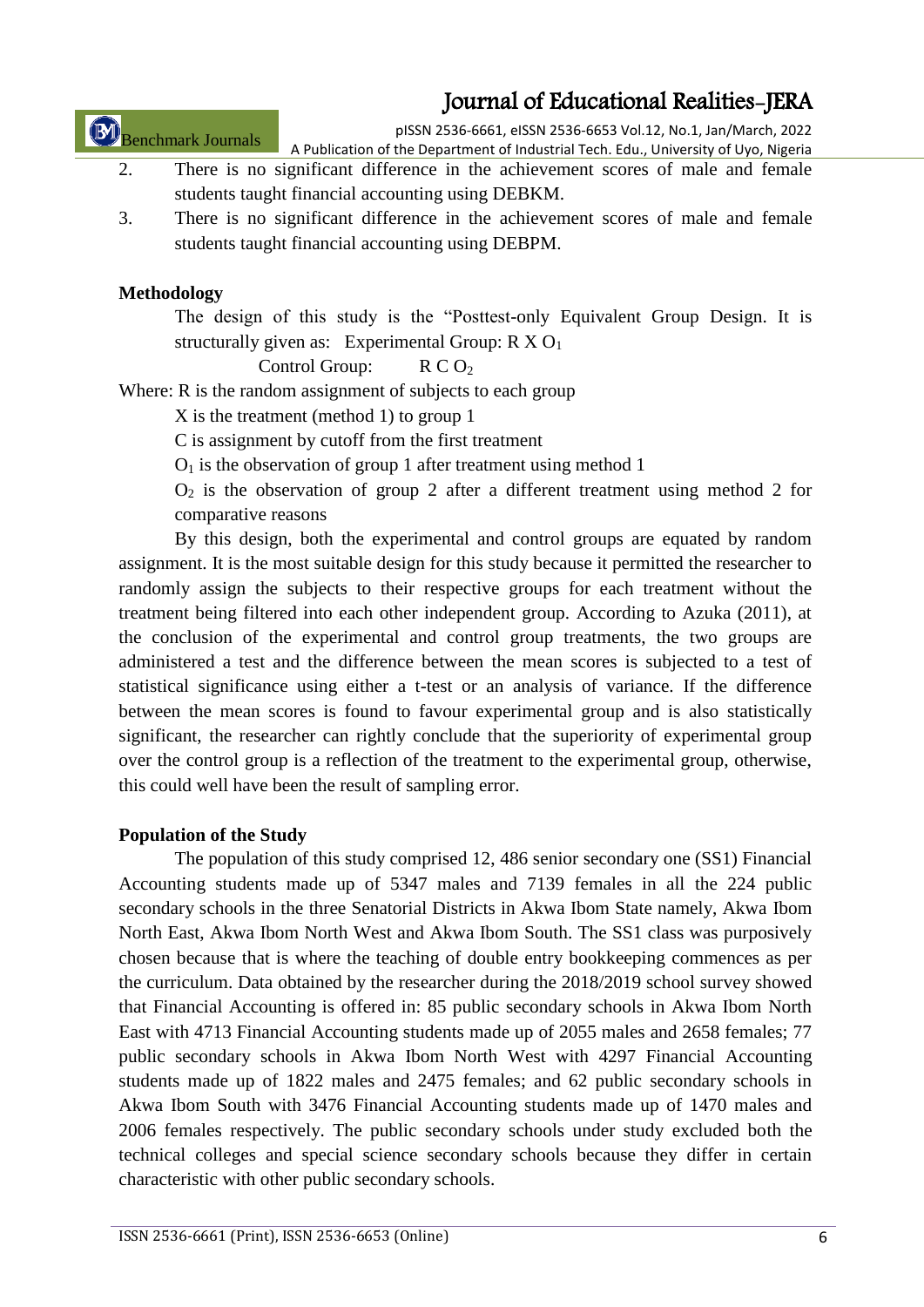Benchmark Journals

pISSN 2536-6661, eISSN 2536-6653 Vol.12, No.1, Jan/March, 2022 A Publication of the Department of Industrial Tech. Edu., University of Uyo, Nigeria

- 2. There is no significant difference in the achievement scores of male and female students taught financial accounting using DEBKM.
- 3. There is no significant difference in the achievement scores of male and female students taught financial accounting using DEBPM.

#### **Methodology**

The design of this study is the "Posttest-only Equivalent Group Design. It is structurally given as: Experimental Group:  $R X O<sub>1</sub>$ 

Control Group:  $R C O<sub>2</sub>$ 

Where: R is the random assignment of subjects to each group

X is the treatment (method 1) to group 1

C is assignment by cutoff from the first treatment

 $O<sub>1</sub>$  is the observation of group 1 after treatment using method 1

 $O<sub>2</sub>$  is the observation of group 2 after a different treatment using method 2 for comparative reasons

By this design, both the experimental and control groups are equated by random assignment. It is the most suitable design for this study because it permitted the researcher to randomly assign the subjects to their respective groups for each treatment without the treatment being filtered into each other independent group. According to Azuka (2011), at the conclusion of the experimental and control group treatments, the two groups are administered a test and the difference between the mean scores is subjected to a test of statistical significance using either a t-test or an analysis of variance. If the difference between the mean scores is found to favour experimental group and is also statistically significant, the researcher can rightly conclude that the superiority of experimental group over the control group is a reflection of the treatment to the experimental group, otherwise, this could well have been the result of sampling error.

### **Population of the Study**

The population of this study comprised 12, 486 senior secondary one (SS1) Financial Accounting students made up of 5347 males and 7139 females in all the 224 public secondary schools in the three Senatorial Districts in Akwa Ibom State namely, Akwa Ibom North East, Akwa Ibom North West and Akwa Ibom South. The SS1 class was purposively chosen because that is where the teaching of double entry bookkeeping commences as per the curriculum. Data obtained by the researcher during the 2018/2019 school survey showed that Financial Accounting is offered in: 85 public secondary schools in Akwa Ibom North East with 4713 Financial Accounting students made up of 2055 males and 2658 females; 77 public secondary schools in Akwa Ibom North West with 4297 Financial Accounting students made up of 1822 males and 2475 females; and 62 public secondary schools in Akwa Ibom South with 3476 Financial Accounting students made up of 1470 males and 2006 females respectively. The public secondary schools under study excluded both the technical colleges and special science secondary schools because they differ in certain characteristic with other public secondary schools.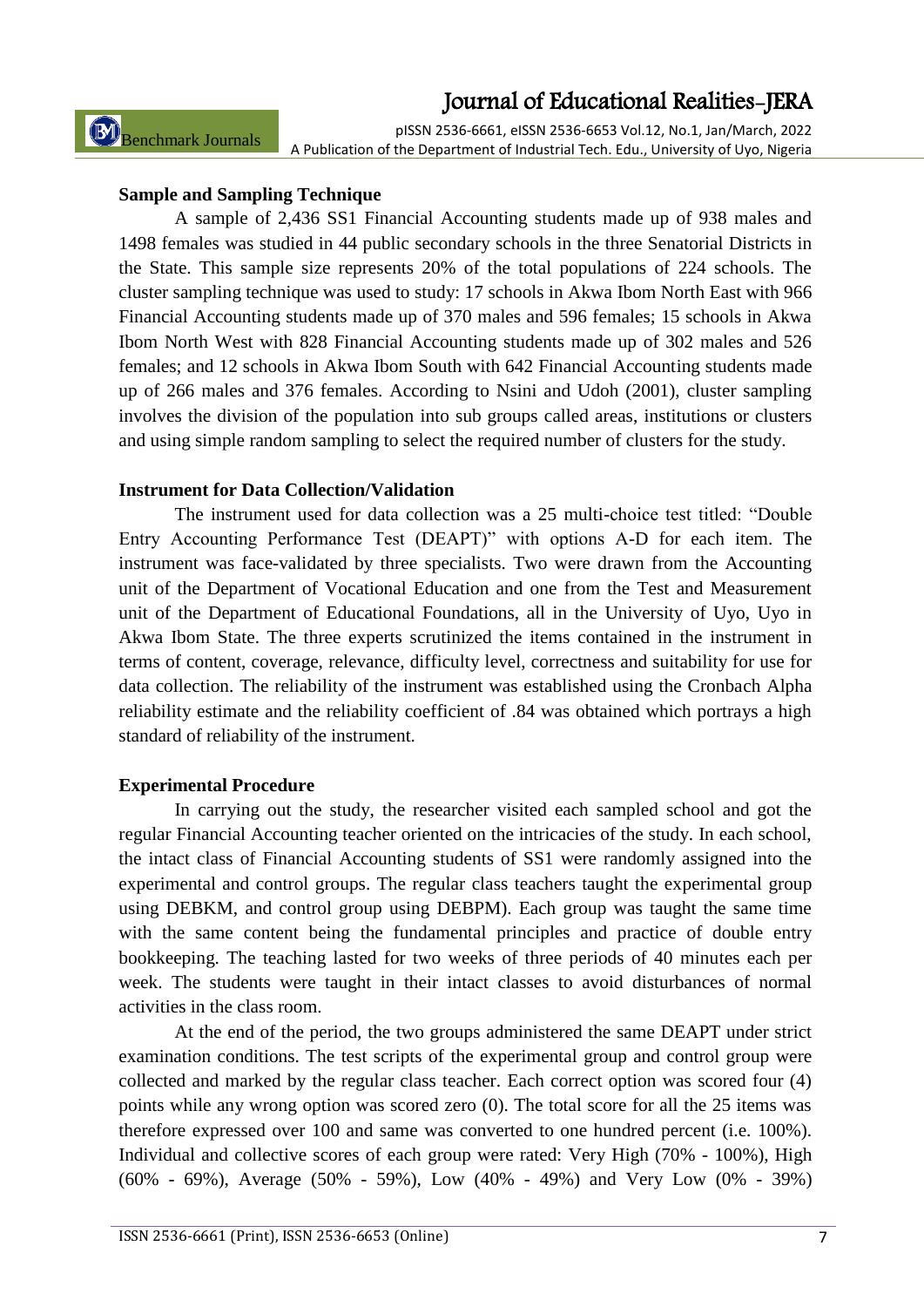Benchmark Journals

pISSN 2536-6661, eISSN 2536-6653 Vol.12, No.1, Jan/March, 2022 A Publication of the Department of Industrial Tech. Edu., University of Uyo, Nigeria

#### **Sample and Sampling Technique**

A sample of 2,436 SS1 Financial Accounting students made up of 938 males and 1498 females was studied in 44 public secondary schools in the three Senatorial Districts in the State. This sample size represents 20% of the total populations of 224 schools. The cluster sampling technique was used to study: 17 schools in Akwa Ibom North East with 966 Financial Accounting students made up of 370 males and 596 females; 15 schools in Akwa Ibom North West with 828 Financial Accounting students made up of 302 males and 526 females; and 12 schools in Akwa Ibom South with 642 Financial Accounting students made up of 266 males and 376 females. According to Nsini and Udoh (2001), cluster sampling involves the division of the population into sub groups called areas, institutions or clusters and using simple random sampling to select the required number of clusters for the study.

#### **Instrument for Data Collection/Validation**

The instrument used for data collection was a 25 multi-choice test titled: "Double Entry Accounting Performance Test (DEAPT)" with options A-D for each item. The instrument was face-validated by three specialists. Two were drawn from the Accounting unit of the Department of Vocational Education and one from the Test and Measurement unit of the Department of Educational Foundations, all in the University of Uyo, Uyo in Akwa Ibom State. The three experts scrutinized the items contained in the instrument in terms of content, coverage, relevance, difficulty level, correctness and suitability for use for data collection. The reliability of the instrument was established using the Cronbach Alpha reliability estimate and the reliability coefficient of .84 was obtained which portrays a high standard of reliability of the instrument.

#### **Experimental Procedure**

In carrying out the study, the researcher visited each sampled school and got the regular Financial Accounting teacher oriented on the intricacies of the study. In each school, the intact class of Financial Accounting students of SS1 were randomly assigned into the experimental and control groups. The regular class teachers taught the experimental group using DEBKM, and control group using DEBPM). Each group was taught the same time with the same content being the fundamental principles and practice of double entry bookkeeping. The teaching lasted for two weeks of three periods of 40 minutes each per week. The students were taught in their intact classes to avoid disturbances of normal activities in the class room.

At the end of the period, the two groups administered the same DEAPT under strict examination conditions. The test scripts of the experimental group and control group were collected and marked by the regular class teacher. Each correct option was scored four (4) points while any wrong option was scored zero (0). The total score for all the 25 items was therefore expressed over 100 and same was converted to one hundred percent (i.e. 100%). Individual and collective scores of each group were rated: Very High (70% - 100%), High (60% - 69%), Average (50% - 59%), Low (40% - 49%) and Very Low (0% - 39%)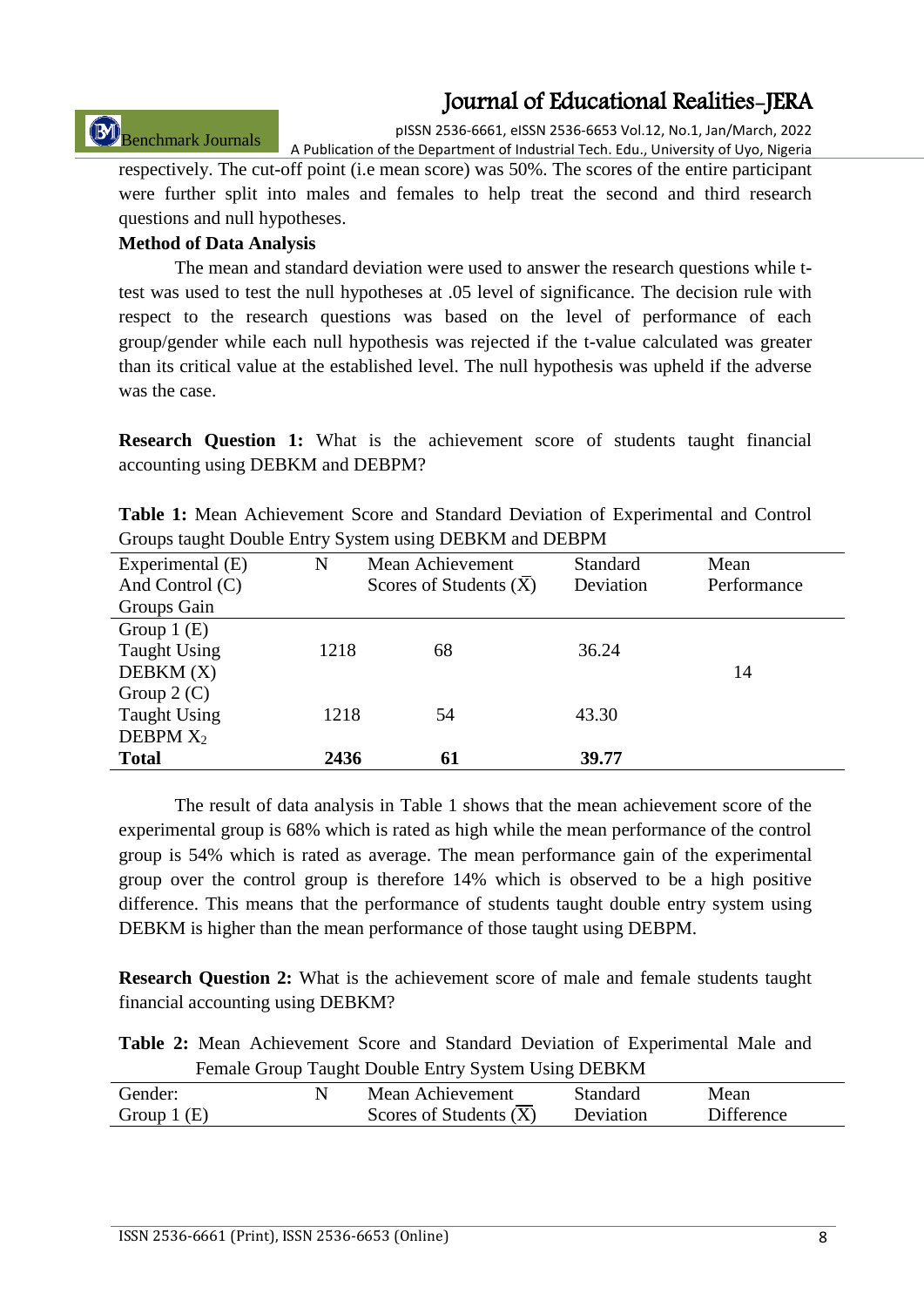# Benchmark Journals

pISSN 2536-6661, eISSN 2536-6653 Vol.12, No.1, Jan/March, 2022 A Publication of the Department of Industrial Tech. Edu., University of Uyo, Nigeria

respectively. The cut-off point (i.e mean score) was 50%. The scores of the entire participant were further split into males and females to help treat the second and third research questions and null hypotheses.

#### **Method of Data Analysis**

The mean and standard deviation were used to answer the research questions while ttest was used to test the null hypotheses at .05 level of significance. The decision rule with respect to the research questions was based on the level of performance of each group/gender while each null hypothesis was rejected if the t-value calculated was greater than its critical value at the established level. The null hypothesis was upheld if the adverse was the case.

**Research Question 1:** What is the achievement score of students taught financial accounting using DEBKM and DEBPM?

|  |                                                         |  |  | <b>Table 1:</b> Mean Achievement Score and Standard Deviation of Experimental and Control |  |
|--|---------------------------------------------------------|--|--|-------------------------------------------------------------------------------------------|--|
|  | Groups taught Double Entry System using DEBKM and DEBPM |  |  |                                                                                           |  |

| Experimental (E)    | N    | Mean Achievement         | Standard  | Mean        |
|---------------------|------|--------------------------|-----------|-------------|
| And Control (C)     |      | Scores of Students $(X)$ | Deviation | Performance |
| Groups Gain         |      |                          |           |             |
| Group $1(E)$        |      |                          |           |             |
| <b>Taught Using</b> | 1218 | 68                       | 36.24     |             |
| DEBKM(X)            |      |                          |           | 14          |
| Group $2(C)$        |      |                          |           |             |
| <b>Taught Using</b> | 1218 | 54                       | 43.30     |             |
| DEBPM $X_2$         |      |                          |           |             |
| <b>Total</b>        | 2436 | 61                       | 39.77     |             |

The result of data analysis in Table 1 shows that the mean achievement score of the experimental group is 68% which is rated as high while the mean performance of the control group is 54% which is rated as average. The mean performance gain of the experimental group over the control group is therefore 14% which is observed to be a high positive difference. This means that the performance of students taught double entry system using DEBKM is higher than the mean performance of those taught using DEBPM.

**Research Question 2:** What is the achievement score of male and female students taught financial accounting using DEBKM?

**Table 2:** Mean Achievement Score and Standard Deviation of Experimental Male and Female Group Taught Double Entry System Using DEBKM

| Gender:      | Mean Achievement         | Standard  | Mean              |
|--------------|--------------------------|-----------|-------------------|
| Group $1(E)$ | Scores of Students $(X)$ | Deviation | <b>Difference</b> |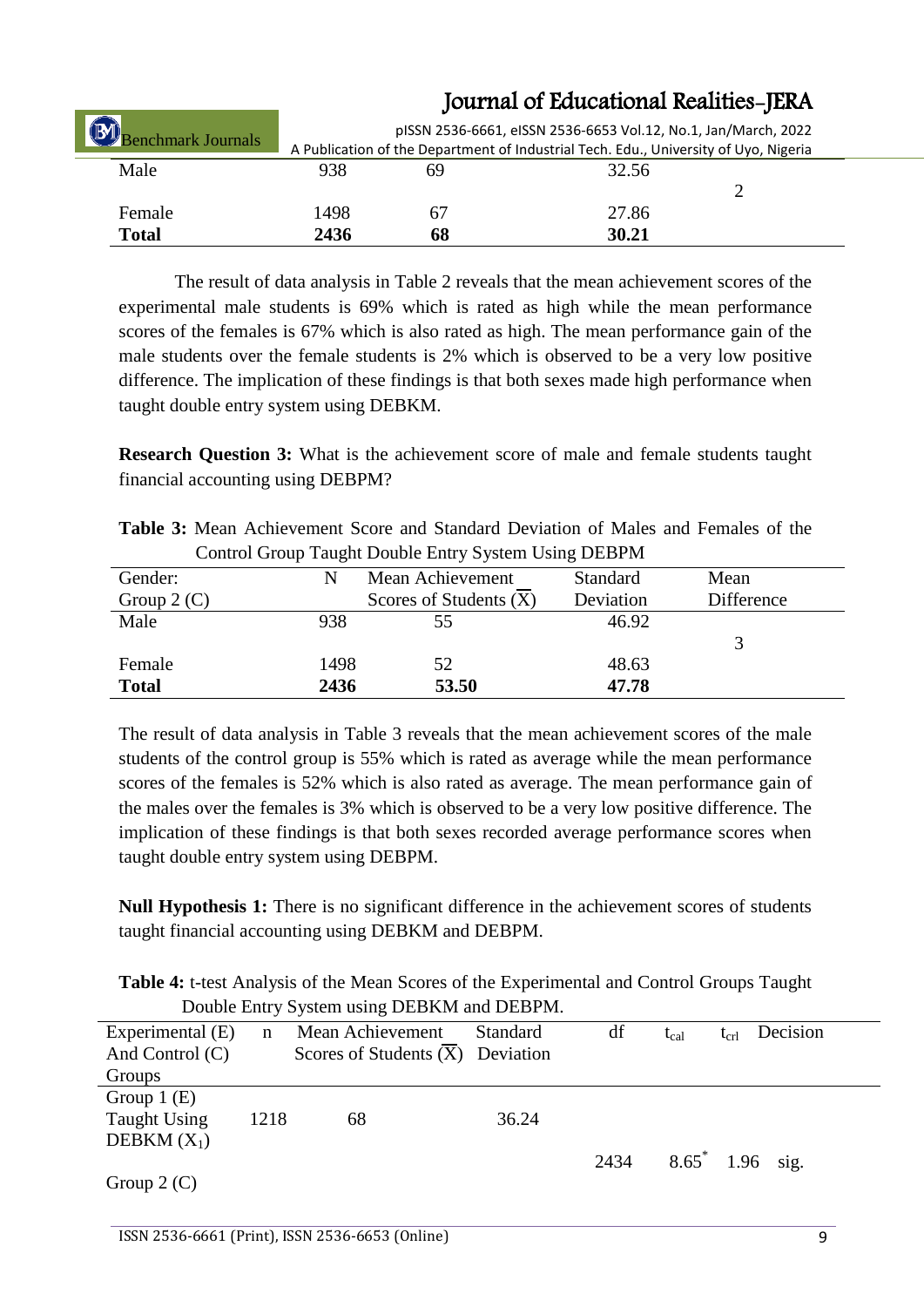| <b>Benchmark Journals</b> |      |    | pISSN 2536-6661, eISSN 2536-6653 Vol.12, No.1, Jan/March, 2022<br>A Publication of the Department of Industrial Tech. Edu., University of Uyo, Nigeria |  |
|---------------------------|------|----|--------------------------------------------------------------------------------------------------------------------------------------------------------|--|
| Male                      | 938  | 69 | 32.56                                                                                                                                                  |  |
|                           |      |    |                                                                                                                                                        |  |
| Female                    | 1498 | 67 | 27.86                                                                                                                                                  |  |
| <b>Total</b>              | 2436 | 68 | 30.21                                                                                                                                                  |  |

The result of data analysis in Table 2 reveals that the mean achievement scores of the experimental male students is 69% which is rated as high while the mean performance scores of the females is 67% which is also rated as high. The mean performance gain of the male students over the female students is 2% which is observed to be a very low positive difference. The implication of these findings is that both sexes made high performance when taught double entry system using DEBKM.

**Research Question 3:** What is the achievement score of male and female students taught financial accounting using DEBPM?

| <b>Table 3:</b> Mean Achievement Score and Standard Deviation of Males and Females of the |  |  |  |
|-------------------------------------------------------------------------------------------|--|--|--|
| Control Group Taught Double Entry System Using DEBPM                                      |  |  |  |

|              | ັ    |                          |                 |            |
|--------------|------|--------------------------|-----------------|------------|
| Gender:      | N    | Mean Achievement         | <b>Standard</b> | Mean       |
| Group $2(C)$ |      | Scores of Students $(X)$ | Deviation       | Difference |
| Male         | 938  | 55                       | 46.92           |            |
|              |      |                          |                 |            |
| Female       | 1498 | 52                       | 48.63           |            |
| <b>Total</b> | 2436 | 53.50                    | 47.78           |            |

The result of data analysis in Table 3 reveals that the mean achievement scores of the male students of the control group is 55% which is rated as average while the mean performance scores of the females is 52% which is also rated as average. The mean performance gain of the males over the females is 3% which is observed to be a very low positive difference. The implication of these findings is that both sexes recorded average performance scores when taught double entry system using DEBPM.

**Null Hypothesis 1:** There is no significant difference in the achievement scores of students taught financial accounting using DEBKM and DEBPM.

**Table 4:** t-test Analysis of the Mean Scores of the Experimental and Control Groups Taught Double Entry System using DEBKM and DEBPM.

|                   |             | $D\ddot{o}$ and $\ddot{o}$ is seem asing $D\ddot{o}$ and $D\ddot{o}$ and $D\ddot{o}$ |          |      |                    |           |          |
|-------------------|-------------|--------------------------------------------------------------------------------------|----------|------|--------------------|-----------|----------|
| Experimental (E)  | $\mathbf n$ | Mean Achievement                                                                     | Standard | df   | $t_{cal}$          | $t_{cr1}$ | Decision |
| And Control $(C)$ |             | Scores of Students $(\overline{X})$ Deviation                                        |          |      |                    |           |          |
| Groups            |             |                                                                                      |          |      |                    |           |          |
| Group $1(E)$      |             |                                                                                      |          |      |                    |           |          |
| Taught Using      | 1218        | 68                                                                                   | 36.24    |      |                    |           |          |
| DEBKM $(X_1)$     |             |                                                                                      |          |      |                    |           |          |
|                   |             |                                                                                      |          | 2434 | $8.65^*$ 1.96 sig. |           |          |
| Group $2(C)$      |             |                                                                                      |          |      |                    |           |          |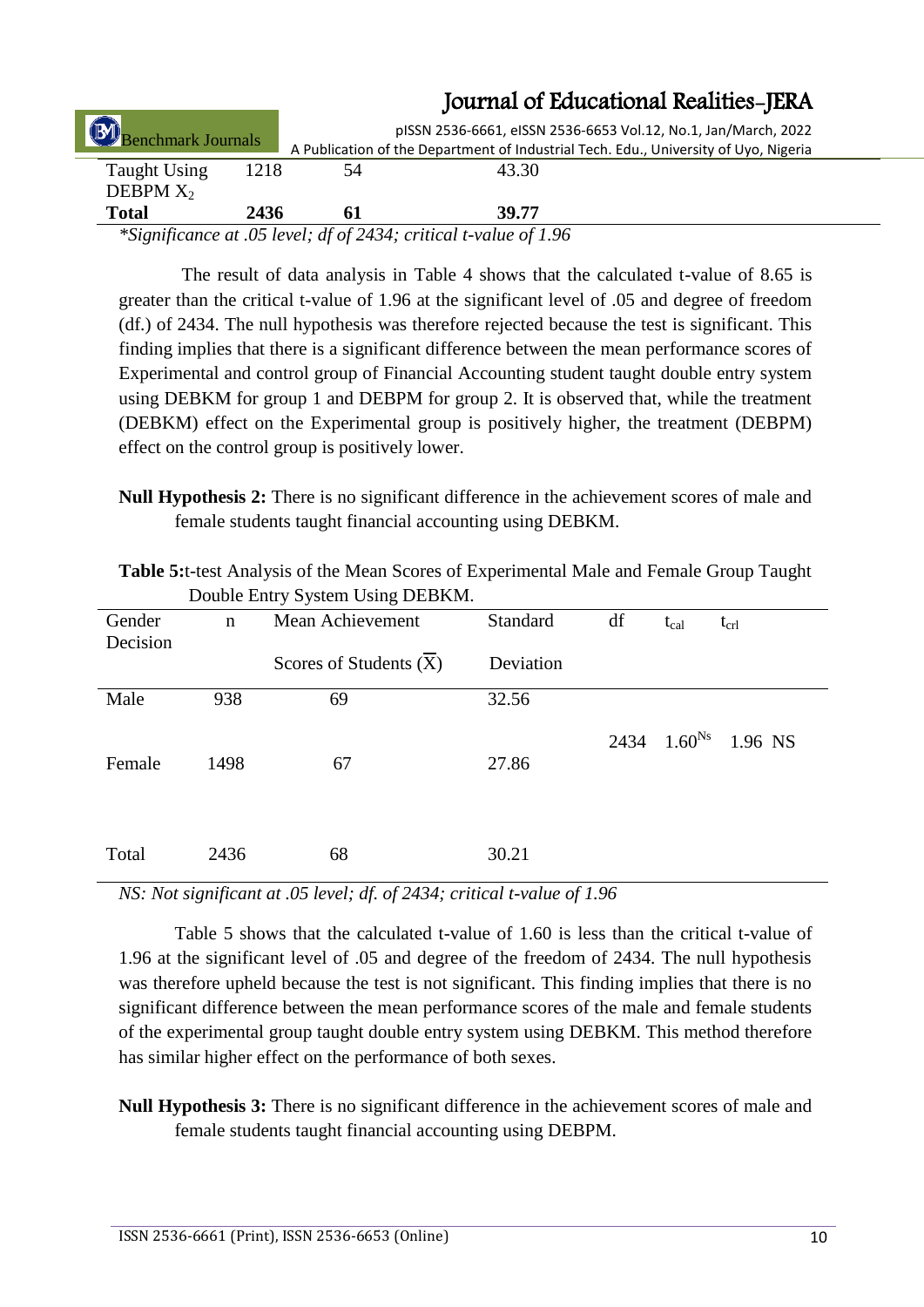|                     |      |    | JUULITAI OL LAUUANUHAI KUANNUS-JLKA                                                                                                                                                                                                                                                                                                        |  |
|---------------------|------|----|--------------------------------------------------------------------------------------------------------------------------------------------------------------------------------------------------------------------------------------------------------------------------------------------------------------------------------------------|--|
| Benchmark Journals  |      |    | pISSN 2536-6661, eISSN 2536-6653 Vol.12, No.1, Jan/March, 2022                                                                                                                                                                                                                                                                             |  |
|                     |      |    | A Publication of the Department of Industrial Tech. Edu., University of Uyo, Nigeria                                                                                                                                                                                                                                                       |  |
| <b>Taught Using</b> | 1218 | 54 | 43.30                                                                                                                                                                                                                                                                                                                                      |  |
| DEBPM $X_2$         |      |    |                                                                                                                                                                                                                                                                                                                                            |  |
| <b>Total</b>        | 2436 | 61 | 39.77                                                                                                                                                                                                                                                                                                                                      |  |
|                     |      |    | $*0$ : $\ldots$ $\ldots$ $\ldots$ $\ldots$ $\ldots$ $\ldots$ $\ldots$ $\ldots$ $\ldots$ $\ldots$ $\ldots$ $\ldots$ $\ldots$ $\ldots$ $\ldots$ $\ldots$ $\ldots$ $\ldots$ $\ldots$ $\ldots$ $\ldots$ $\ldots$ $\ldots$ $\ldots$ $\ldots$ $\ldots$ $\ldots$ $\ldots$ $\ldots$ $\ldots$ $\ldots$ $\ldots$ $\ldots$ $\ldots$ $\ldots$ $\ldots$ |  |

*\*Significance at .05 level; df of 2434; critical t-value of 1.96*

The result of data analysis in Table 4 shows that the calculated t-value of 8.65 is greater than the critical t-value of 1.96 at the significant level of .05 and degree of freedom (df.) of 2434. The null hypothesis was therefore rejected because the test is significant. This finding implies that there is a significant difference between the mean performance scores of Experimental and control group of Financial Accounting student taught double entry system using DEBKM for group 1 and DEBPM for group 2. It is observed that, while the treatment (DEBKM) effect on the Experimental group is positively higher, the treatment (DEBPM) effect on the control group is positively lower.

**Null Hypothesis 2:** There is no significant difference in the achievement scores of male and female students taught financial accounting using DEBKM.

| DOUDIE EIIU Y SYSIEIII USIIIG DEDINIVI. |             |                          |           |    |           |                          |  |  |  |
|-----------------------------------------|-------------|--------------------------|-----------|----|-----------|--------------------------|--|--|--|
| Gender                                  | $\mathbf n$ | Mean Achievement         | Standard  | df | $t_{cal}$ | $t_{\rm crl}$            |  |  |  |
| Decision                                |             |                          |           |    |           |                          |  |  |  |
|                                         |             | Scores of Students $(X)$ | Deviation |    |           |                          |  |  |  |
| Male                                    | 938         | 69                       | 32.56     |    |           |                          |  |  |  |
|                                         |             |                          |           |    |           | 2434 $1.60^{Ns}$ 1.96 NS |  |  |  |
| Female                                  | 1498        | 67                       | 27.86     |    |           |                          |  |  |  |
|                                         |             |                          |           |    |           |                          |  |  |  |
|                                         |             |                          |           |    |           |                          |  |  |  |
| Total                                   | 2436        | 68                       | 30.21     |    |           |                          |  |  |  |

**Table 5:**t-test Analysis of the Mean Scores of Experimental Male and Female Group Taught Double Entry System Using DEBKM.

*NS: Not significant at .05 level; df. of 2434; critical t-value of 1.96*

Table 5 shows that the calculated t-value of 1.60 is less than the critical t-value of 1.96 at the significant level of .05 and degree of the freedom of 2434. The null hypothesis was therefore upheld because the test is not significant. This finding implies that there is no significant difference between the mean performance scores of the male and female students of the experimental group taught double entry system using DEBKM. This method therefore has similar higher effect on the performance of both sexes.

**Null Hypothesis 3:** There is no significant difference in the achievement scores of male and female students taught financial accounting using DEBPM.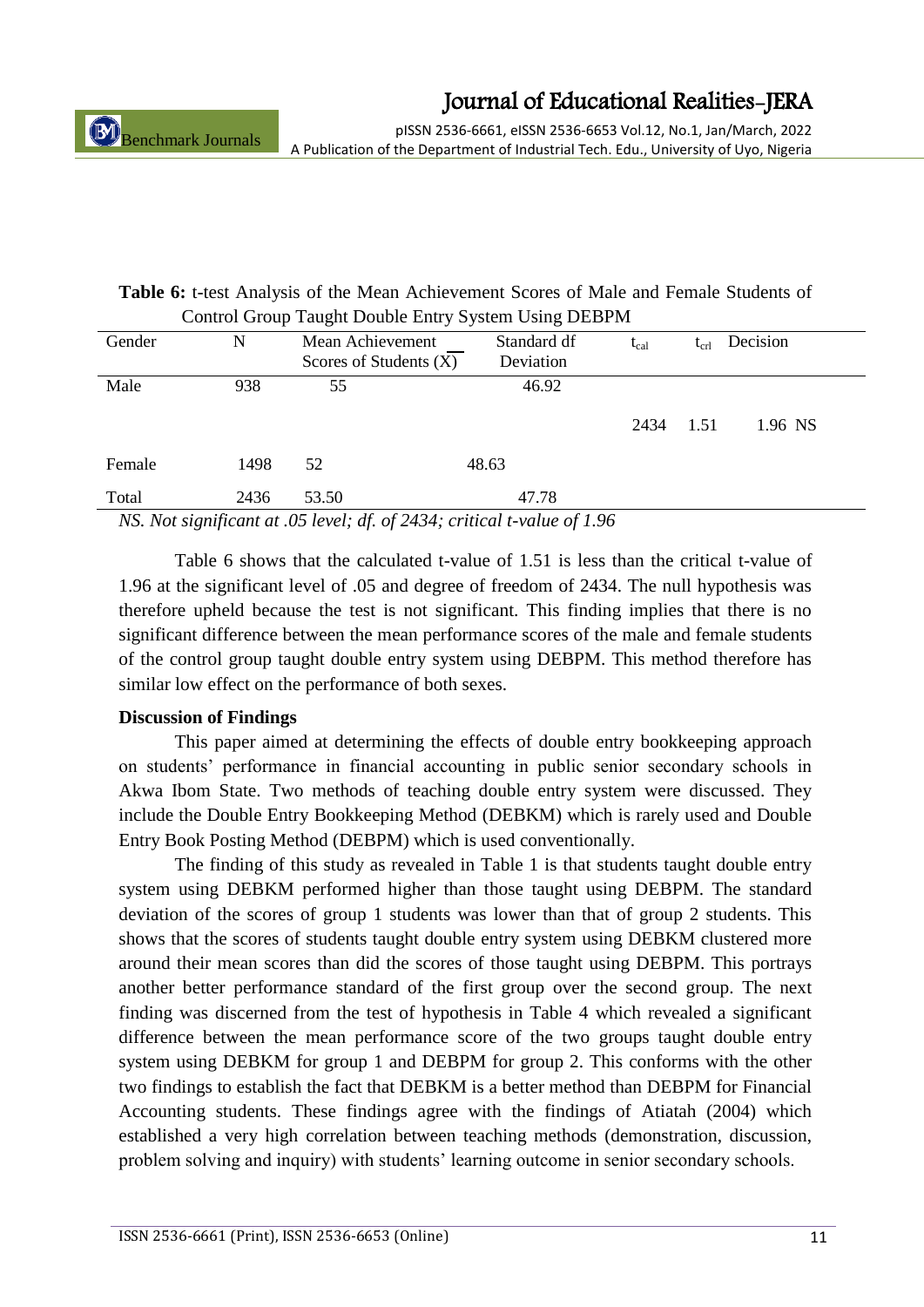pISSN 2536-6661, eISSN 2536-6653 Vol.12, No.1, Jan/March, 2022 A Publication of the Department of Industrial Tech. Edu., University of Uyo, Nigeria

### **Table 6:** t-test Analysis of the Mean Achievement Scores of Male and Female Students of Control Group Taught Double Entry System Using DEBPM

| Gender            | N                     | Mean Achievement<br>Scores of Students $(X)$ | Standard df<br>Deviation | $t_{cal}$ | $t_{cr1}$ | Decision |
|-------------------|-----------------------|----------------------------------------------|--------------------------|-----------|-----------|----------|
| Male              | 938                   | 55                                           | 46.92                    | 2434      | 1.51      | 1.96 NS  |
| Female            | 1498                  | 52                                           | 48.63                    |           |           |          |
| Total<br>$\cdots$ | 2436<br>$\sim$ $\sim$ | 53.50<br>$\sim$ $\sim$ $\sim$ $\sim$         | 47.78                    |           |           |          |

*NS. Not significant at .05 level; df. of 2434; critical t-value of 1.96*

Table 6 shows that the calculated t-value of 1.51 is less than the critical t-value of 1.96 at the significant level of .05 and degree of freedom of 2434. The null hypothesis was therefore upheld because the test is not significant. This finding implies that there is no significant difference between the mean performance scores of the male and female students of the control group taught double entry system using DEBPM. This method therefore has similar low effect on the performance of both sexes.

### **Discussion of Findings**

This paper aimed at determining the effects of double entry bookkeeping approach on students" performance in financial accounting in public senior secondary schools in Akwa Ibom State. Two methods of teaching double entry system were discussed. They include the Double Entry Bookkeeping Method (DEBKM) which is rarely used and Double Entry Book Posting Method (DEBPM) which is used conventionally.

The finding of this study as revealed in Table 1 is that students taught double entry system using DEBKM performed higher than those taught using DEBPM. The standard deviation of the scores of group 1 students was lower than that of group 2 students. This shows that the scores of students taught double entry system using DEBKM clustered more around their mean scores than did the scores of those taught using DEBPM. This portrays another better performance standard of the first group over the second group. The next finding was discerned from the test of hypothesis in Table 4 which revealed a significant difference between the mean performance score of the two groups taught double entry system using DEBKM for group 1 and DEBPM for group 2. This conforms with the other two findings to establish the fact that DEBKM is a better method than DEBPM for Financial Accounting students. These findings agree with the findings of Atiatah (2004) which established a very high correlation between teaching methods (demonstration, discussion, problem solving and inquiry) with students' learning outcome in senior secondary schools.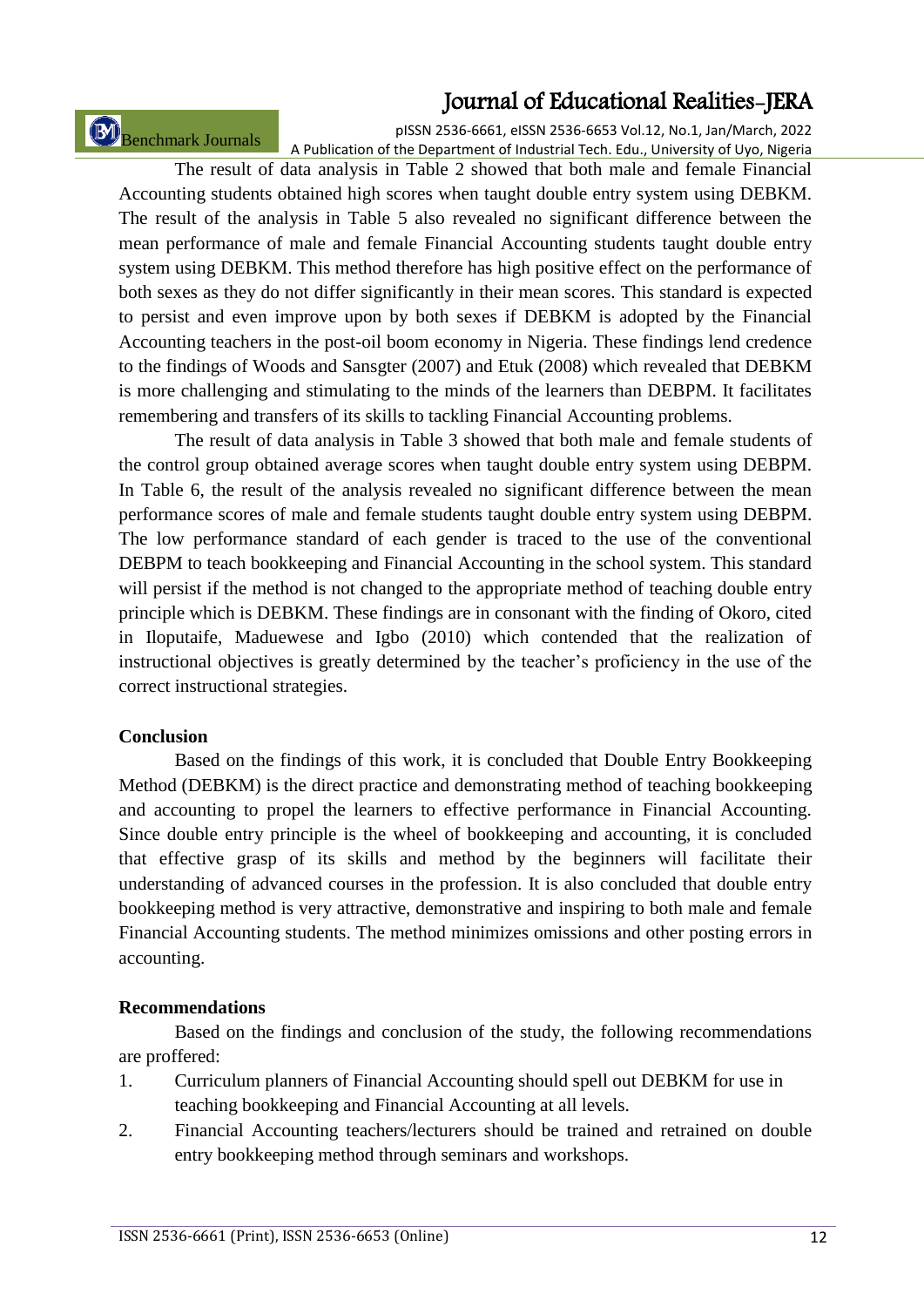Benchmark Journals

pISSN 2536-6661, eISSN 2536-6653 Vol.12, No.1, Jan/March, 2022 A Publication of the Department of Industrial Tech. Edu., University of Uyo, Nigeria

The result of data analysis in Table 2 showed that both male and female Financial Accounting students obtained high scores when taught double entry system using DEBKM. The result of the analysis in Table 5 also revealed no significant difference between the mean performance of male and female Financial Accounting students taught double entry system using DEBKM. This method therefore has high positive effect on the performance of both sexes as they do not differ significantly in their mean scores. This standard is expected to persist and even improve upon by both sexes if DEBKM is adopted by the Financial Accounting teachers in the post-oil boom economy in Nigeria. These findings lend credence to the findings of Woods and Sansgter (2007) and Etuk (2008) which revealed that DEBKM is more challenging and stimulating to the minds of the learners than DEBPM. It facilitates remembering and transfers of its skills to tackling Financial Accounting problems.

The result of data analysis in Table 3 showed that both male and female students of the control group obtained average scores when taught double entry system using DEBPM. In Table 6, the result of the analysis revealed no significant difference between the mean performance scores of male and female students taught double entry system using DEBPM. The low performance standard of each gender is traced to the use of the conventional DEBPM to teach bookkeeping and Financial Accounting in the school system. This standard will persist if the method is not changed to the appropriate method of teaching double entry principle which is DEBKM. These findings are in consonant with the finding of Okoro, cited in Iloputaife, Maduewese and Igbo (2010) which contended that the realization of instructional objectives is greatly determined by the teacher"s proficiency in the use of the correct instructional strategies.

#### **Conclusion**

Based on the findings of this work, it is concluded that Double Entry Bookkeeping Method (DEBKM) is the direct practice and demonstrating method of teaching bookkeeping and accounting to propel the learners to effective performance in Financial Accounting. Since double entry principle is the wheel of bookkeeping and accounting, it is concluded that effective grasp of its skills and method by the beginners will facilitate their understanding of advanced courses in the profession. It is also concluded that double entry bookkeeping method is very attractive, demonstrative and inspiring to both male and female Financial Accounting students. The method minimizes omissions and other posting errors in accounting.

#### **Recommendations**

Based on the findings and conclusion of the study, the following recommendations are proffered:

- 1. Curriculum planners of Financial Accounting should spell out DEBKM for use in teaching bookkeeping and Financial Accounting at all levels.
- 2. Financial Accounting teachers/lecturers should be trained and retrained on double entry bookkeeping method through seminars and workshops.